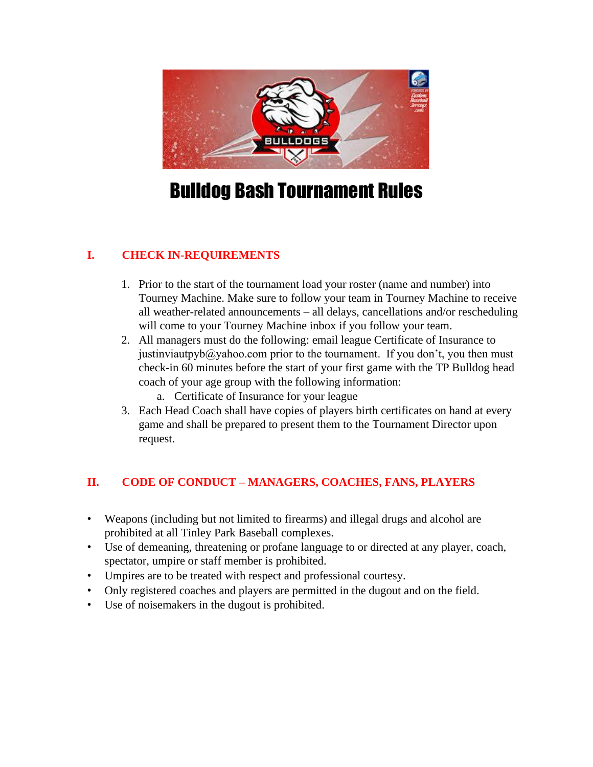

# Bulldog Bash Tournament Rules

# **I. CHECK IN-REQUIREMENTS**

- 1. Prior to the start of the tournament load your roster (name and number) into Tourney Machine. Make sure to follow your team in Tourney Machine to receive all weather-related announcements – all delays, cancellations and/or rescheduling will come to your Tourney Machine inbox if you follow your team.
- 2. All managers must do the following: email league Certificate of Insurance to justinviautpyb $@y$ ahoo.com prior to the tournament. If you don't, you then must check-in 60 minutes before the start of your first game with the TP Bulldog head coach of your age group with the following information:
	- a. Certificate of Insurance for your league
- 3. Each Head Coach shall have copies of players birth certificates on hand at every game and shall be prepared to present them to the Tournament Director upon request.

# **II. CODE OF CONDUCT – MANAGERS, COACHES, FANS, PLAYERS**

- Weapons (including but not limited to firearms) and illegal drugs and alcohol are prohibited at all Tinley Park Baseball complexes.
- Use of demeaning, threatening or profane language to or directed at any player, coach, spectator, umpire or staff member is prohibited.
- Umpires are to be treated with respect and professional courtesy.
- Only registered coaches and players are permitted in the dugout and on the field.
- Use of noisemakers in the dugout is prohibited.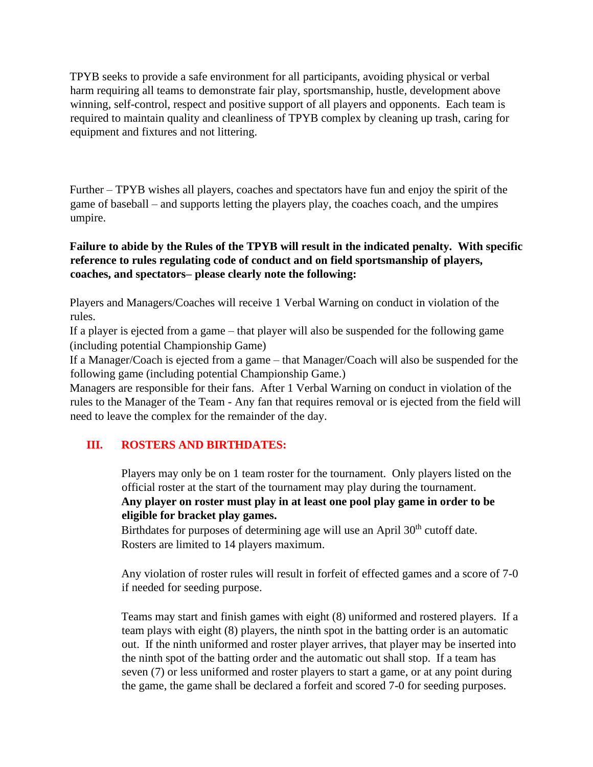TPYB seeks to provide a safe environment for all participants, avoiding physical or verbal harm requiring all teams to demonstrate fair play, sportsmanship, hustle, development above winning, self-control, respect and positive support of all players and opponents. Each team is required to maintain quality and cleanliness of TPYB complex by cleaning up trash, caring for equipment and fixtures and not littering.

Further – TPYB wishes all players, coaches and spectators have fun and enjoy the spirit of the game of baseball – and supports letting the players play, the coaches coach, and the umpires umpire.

#### **Failure to abide by the Rules of the TPYB will result in the indicated penalty. With specific reference to rules regulating code of conduct and on field sportsmanship of players, coaches, and spectators– please clearly note the following:**

Players and Managers/Coaches will receive 1 Verbal Warning on conduct in violation of the rules.

If a player is ejected from a game – that player will also be suspended for the following game (including potential Championship Game)

If a Manager/Coach is ejected from a game – that Manager/Coach will also be suspended for the following game (including potential Championship Game.)

Managers are responsible for their fans. After 1 Verbal Warning on conduct in violation of the rules to the Manager of the Team - Any fan that requires removal or is ejected from the field will need to leave the complex for the remainder of the day.

# **III. ROSTERS AND BIRTHDATES:**

Players may only be on 1 team roster for the tournament. Only players listed on the official roster at the start of the tournament may play during the tournament. **Any player on roster must play in at least one pool play game in order to be eligible for bracket play games.**

Birthdates for purposes of determining age will use an April 30<sup>th</sup> cutoff date. Rosters are limited to 14 players maximum.

Any violation of roster rules will result in forfeit of effected games and a score of 7-0 if needed for seeding purpose.

Teams may start and finish games with eight (8) uniformed and rostered players. If a team plays with eight (8) players, the ninth spot in the batting order is an automatic out. If the ninth uniformed and roster player arrives, that player may be inserted into the ninth spot of the batting order and the automatic out shall stop. If a team has seven (7) or less uniformed and roster players to start a game, or at any point during the game, the game shall be declared a forfeit and scored 7-0 for seeding purposes.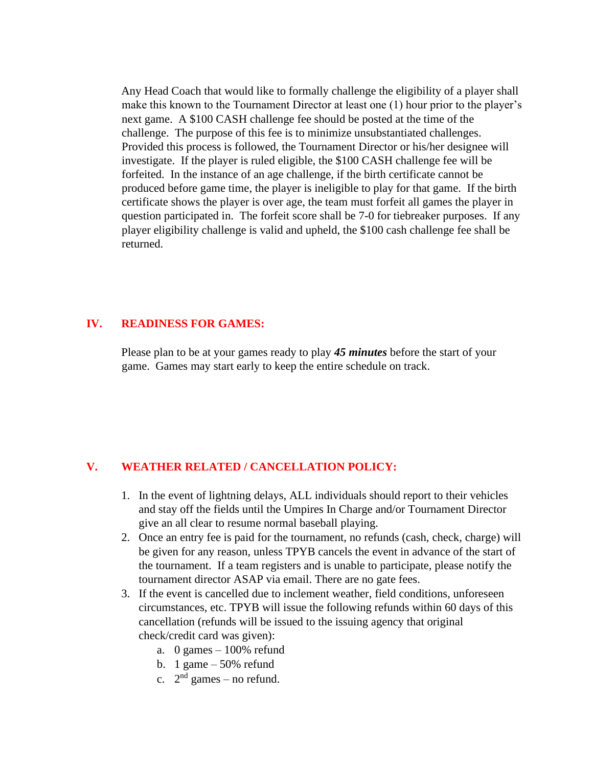Any Head Coach that would like to formally challenge the eligibility of a player shall make this known to the Tournament Director at least one (1) hour prior to the player's next game. A \$100 CASH challenge fee should be posted at the time of the challenge. The purpose of this fee is to minimize unsubstantiated challenges. Provided this process is followed, the Tournament Director or his/her designee will investigate. If the player is ruled eligible, the \$100 CASH challenge fee will be forfeited. In the instance of an age challenge, if the birth certificate cannot be produced before game time, the player is ineligible to play for that game. If the birth certificate shows the player is over age, the team must forfeit all games the player in question participated in. The forfeit score shall be 7-0 for tiebreaker purposes. If any player eligibility challenge is valid and upheld, the \$100 cash challenge fee shall be returned.

#### **IV. READINESS FOR GAMES:**

Please plan to be at your games ready to play *45 minutes* before the start of your game. Games may start early to keep the entire schedule on track.

#### **V. WEATHER RELATED / CANCELLATION POLICY:**

- 1. In the event of lightning delays, ALL individuals should report to their vehicles and stay off the fields until the Umpires In Charge and/or Tournament Director give an all clear to resume normal baseball playing.
- 2. Once an entry fee is paid for the tournament, no refunds (cash, check, charge) will be given for any reason, unless TPYB cancels the event in advance of the start of the tournament. If a team registers and is unable to participate, please notify the tournament director ASAP via email. There are no gate fees.
- 3. If the event is cancelled due to inclement weather, field conditions, unforeseen circumstances, etc. TPYB will issue the following refunds within 60 days of this cancellation (refunds will be issued to the issuing agency that original check/credit card was given):
	- a. 0 games  $-100\%$  refund
	- b. 1 game 50% refund
	- c.  $2<sup>nd</sup>$  games no refund.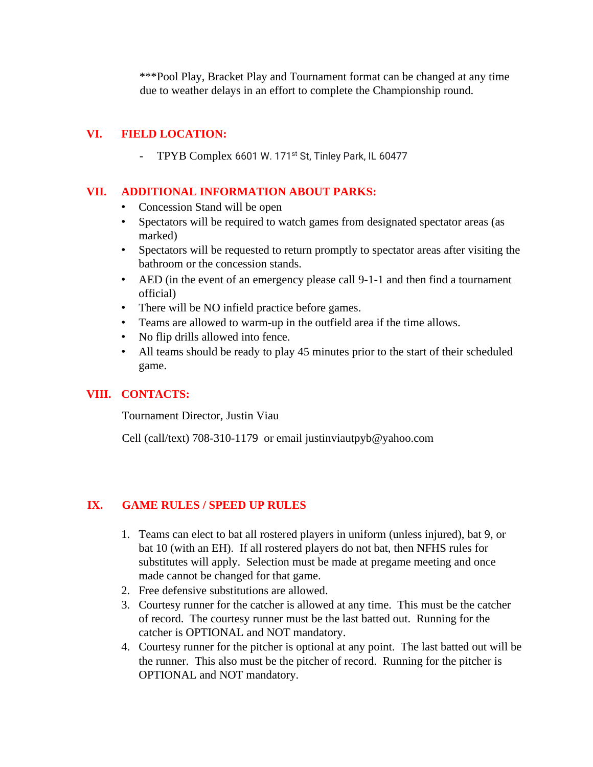\*\*\*Pool Play, Bracket Play and Tournament format can be changed at any time due to weather delays in an effort to complete the Championship round.

## **VI. FIELD LOCATION:**

- TPYB Complex 6601 W. 171<sup>st</sup> St, Tinley Park, IL 60477

#### **VII. ADDITIONAL INFORMATION ABOUT PARKS:**

- Concession Stand will be open
- Spectators will be required to watch games from designated spectator areas (as marked)
- Spectators will be requested to return promptly to spectator areas after visiting the bathroom or the concession stands.
- AED (in the event of an emergency please call 9-1-1 and then find a tournament official)
- There will be NO infield practice before games.
- Teams are allowed to warm-up in the outfield area if the time allows.
- No flip drills allowed into fence.
- All teams should be ready to play 45 minutes prior to the start of their scheduled game.

#### **VIII. CONTACTS:**

Tournament Director, Justin Viau

Cell (call/text) 708-310-1179 or email justinviautpyb@yahoo.com

#### **IX. GAME RULES / SPEED UP RULES**

- 1. Teams can elect to bat all rostered players in uniform (unless injured), bat 9, or bat 10 (with an EH). If all rostered players do not bat, then NFHS rules for substitutes will apply. Selection must be made at pregame meeting and once made cannot be changed for that game.
- 2. Free defensive substitutions are allowed.
- 3. Courtesy runner for the catcher is allowed at any time. This must be the catcher of record. The courtesy runner must be the last batted out. Running for the catcher is OPTIONAL and NOT mandatory.
- 4. Courtesy runner for the pitcher is optional at any point. The last batted out will be the runner. This also must be the pitcher of record. Running for the pitcher is OPTIONAL and NOT mandatory.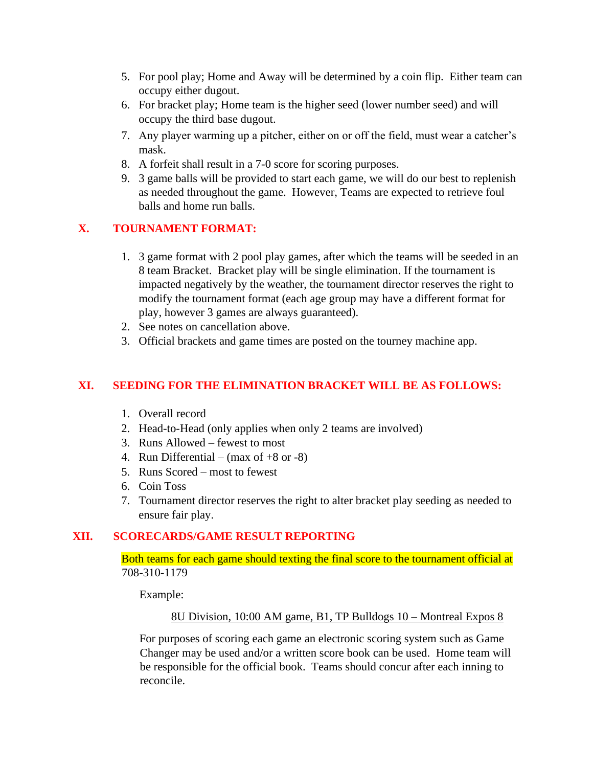- 5. For pool play; Home and Away will be determined by a coin flip. Either team can occupy either dugout.
- 6. For bracket play; Home team is the higher seed (lower number seed) and will occupy the third base dugout.
- 7. Any player warming up a pitcher, either on or off the field, must wear a catcher's mask.
- 8. A forfeit shall result in a 7-0 score for scoring purposes.
- 9. 3 game balls will be provided to start each game, we will do our best to replenish as needed throughout the game. However, Teams are expected to retrieve foul balls and home run balls.

# **X. TOURNAMENT FORMAT:**

- 1. 3 game format with 2 pool play games, after which the teams will be seeded in an 8 team Bracket. Bracket play will be single elimination. If the tournament is impacted negatively by the weather, the tournament director reserves the right to modify the tournament format (each age group may have a different format for play, however 3 games are always guaranteed).
- 2. See notes on cancellation above.
- 3. Official brackets and game times are posted on the tourney machine app.

# **XI. SEEDING FOR THE ELIMINATION BRACKET WILL BE AS FOLLOWS:**

- 1. Overall record
- 2. Head-to-Head (only applies when only 2 teams are involved)
- 3. Runs Allowed fewest to most
- 4. Run Differential (max of  $+8$  or  $-8$ )
- 5. Runs Scored most to fewest
- 6. Coin Toss
- 7. Tournament director reserves the right to alter bracket play seeding as needed to ensure fair play.

# **XII. SCORECARDS/GAME RESULT REPORTING**

#### Both teams for each game should texting the final score to the tournament official at 708-310-1179

Example:

#### 8U Division, 10:00 AM game, B1, TP Bulldogs 10 – Montreal Expos 8

For purposes of scoring each game an electronic scoring system such as Game Changer may be used and/or a written score book can be used. Home team will be responsible for the official book. Teams should concur after each inning to reconcile.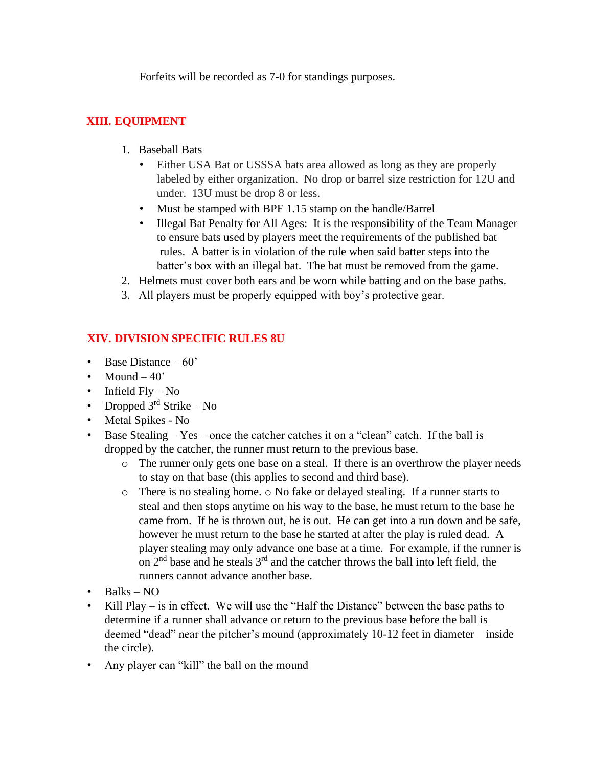Forfeits will be recorded as 7-0 for standings purposes.

# **XIII. EQUIPMENT**

- 1. Baseball Bats
	- Either USA Bat or USSSA bats area allowed as long as they are properly labeled by either organization. No drop or barrel size restriction for 12U and under. 13U must be drop 8 or less.
	- Must be stamped with BPF 1.15 stamp on the handle/Barrel
	- Illegal Bat Penalty for All Ages: It is the responsibility of the Team Manager to ensure bats used by players meet the requirements of the published bat rules. A batter is in violation of the rule when said batter steps into the batter's box with an illegal bat. The bat must be removed from the game.
- 2. Helmets must cover both ears and be worn while batting and on the base paths.
- 3. All players must be properly equipped with boy's protective gear.

# **XIV. DIVISION SPECIFIC RULES 8U**

- Base Distance  $-60'$
- Mound  $-40$
- Infield  $Fly No$
- Dropped  $3<sup>rd</sup>$  Strike No
- Metal Spikes No
- Base Stealing Yes once the catcher catches it on a "clean" catch. If the ball is dropped by the catcher, the runner must return to the previous base.
	- o The runner only gets one base on a steal. If there is an overthrow the player needs to stay on that base (this applies to second and third base).
	- o There is no stealing home. o No fake or delayed stealing. If a runner starts to steal and then stops anytime on his way to the base, he must return to the base he came from. If he is thrown out, he is out. He can get into a run down and be safe, however he must return to the base he started at after the play is ruled dead. A player stealing may only advance one base at a time. For example, if the runner is on  $2<sup>nd</sup>$  base and he steals  $3<sup>rd</sup>$  and the catcher throws the ball into left field, the runners cannot advance another base.
- Balks  $NO$
- Kill Play is in effect. We will use the "Half the Distance" between the base paths to determine if a runner shall advance or return to the previous base before the ball is deemed "dead" near the pitcher's mound (approximately 10-12 feet in diameter – inside the circle).
- Any player can "kill" the ball on the mound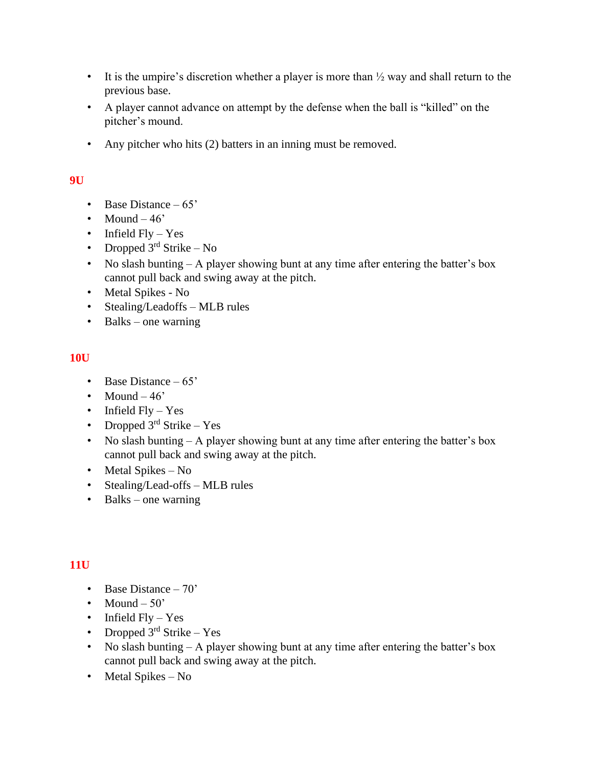- It is the umpire's discretion whether a player is more than  $\frac{1}{2}$  way and shall return to the previous base.
- A player cannot advance on attempt by the defense when the ball is "killed" on the pitcher's mound.
- Any pitcher who hits (2) batters in an inning must be removed.

## **9U**

- Base Distance  $-65'$
- Mound  $-46'$
- Infield Fly Yes
- Dropped  $3<sup>rd</sup>$  Strike No
- No slash bunting A player showing bunt at any time after entering the batter's box cannot pull back and swing away at the pitch.
- Metal Spikes No
- Stealing/Leadoffs MLB rules
- Balks one warning

#### **10U**

- Base Distance 65'
- Mound  $-46$
- Infield  $Fly Yes$
- Dropped  $3<sup>rd</sup>$  Strike Yes
- No slash bunting  $A$  player showing bunt at any time after entering the batter's box cannot pull back and swing away at the pitch.
- Metal Spikes No
- Stealing/Lead-offs MLB rules
- Balks one warning

# **11U**

- Base Distance 70'
- Mound  $-50'$
- Infield Fly Yes
- Dropped  $3<sup>rd</sup>$  Strike Yes
- No slash bunting A player showing bunt at any time after entering the batter's box cannot pull back and swing away at the pitch.
- Metal Spikes No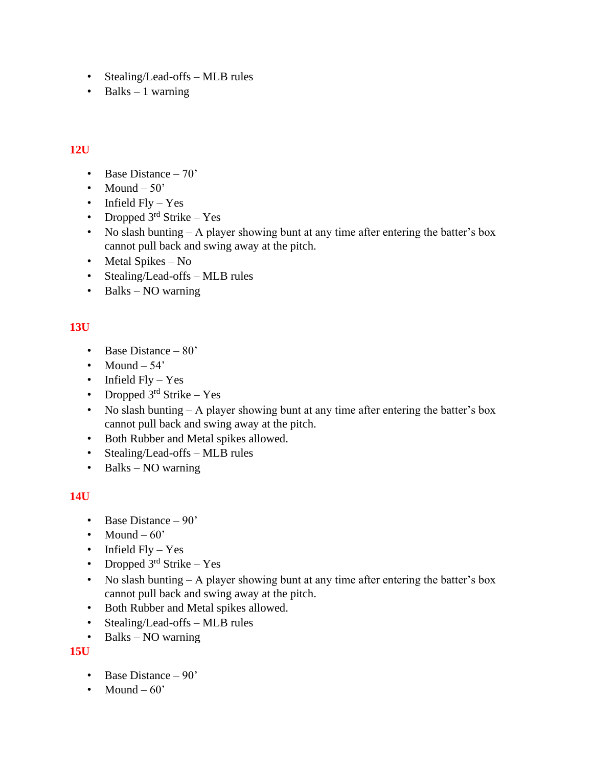- Stealing/Lead-offs MLB rules
- Balks  $-1$  warning

# **12U**

- Base Distance 70'
- Mound  $-50'$
- Infield  $Fly Yes$
- Dropped  $3<sup>rd</sup>$  Strike Yes
- No slash bunting A player showing bunt at any time after entering the batter's box cannot pull back and swing away at the pitch.
- Metal Spikes No
- Stealing/Lead-offs MLB rules
- Balks NO warning

# **13U**

- Base Distance 80'
- Mound  $-54'$
- Infield Fly Yes
- Dropped  $3<sup>rd</sup>$  Strike Yes
- No slash bunting A player showing bunt at any time after entering the batter's box cannot pull back and swing away at the pitch.
- Both Rubber and Metal spikes allowed.
- Stealing/Lead-offs MLB rules
- Balks NO warning

#### **14U**

- Base Distance 90'
- Mound  $-60'$
- Infield  $Fly Yes$
- Dropped  $3<sup>rd</sup>$  Strike Yes
- No slash bunting A player showing bunt at any time after entering the batter's box cannot pull back and swing away at the pitch.
- Both Rubber and Metal spikes allowed.
- Stealing/Lead-offs MLB rules
- Balks NO warning

# **15U**

- Base Distance 90'
- Mound  $-60'$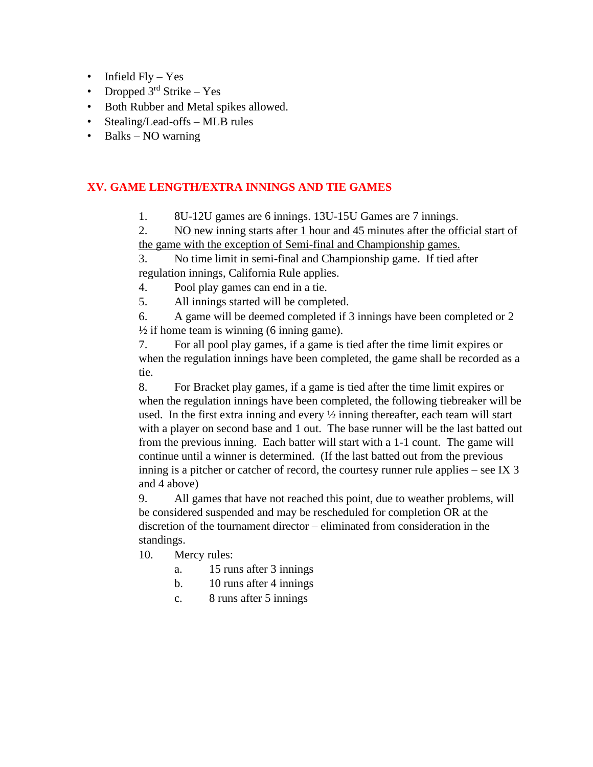- Infield  $Fly Yes$
- Dropped  $3<sup>rd</sup>$  Strike Yes
- Both Rubber and Metal spikes allowed.
- Stealing/Lead-offs MLB rules
- Balks NO warning

#### **XV. GAME LENGTH/EXTRA INNINGS AND TIE GAMES**

1. 8U-12U games are 6 innings. 13U-15U Games are 7 innings.

2. NO new inning starts after 1 hour and 45 minutes after the official start of the game with the exception of Semi-final and Championship games.

3. No time limit in semi-final and Championship game. If tied after regulation innings, California Rule applies.

4. Pool play games can end in a tie.

5. All innings started will be completed.

6. A game will be deemed completed if 3 innings have been completed or 2  $\frac{1}{2}$  if home team is winning (6 inning game).

7. For all pool play games, if a game is tied after the time limit expires or when the regulation innings have been completed, the game shall be recorded as a tie.

8. For Bracket play games, if a game is tied after the time limit expires or when the regulation innings have been completed, the following tiebreaker will be used. In the first extra inning and every ½ inning thereafter, each team will start with a player on second base and 1 out. The base runner will be the last batted out from the previous inning. Each batter will start with a 1-1 count. The game will continue until a winner is determined. (If the last batted out from the previous inning is a pitcher or catcher of record, the courtesy runner rule applies – see IX 3 and 4 above)

9. All games that have not reached this point, due to weather problems, will be considered suspended and may be rescheduled for completion OR at the discretion of the tournament director – eliminated from consideration in the standings.

- 10. Mercy rules:
	- a. 15 runs after 3 innings
	- b. 10 runs after 4 innings
	- c. 8 runs after 5 innings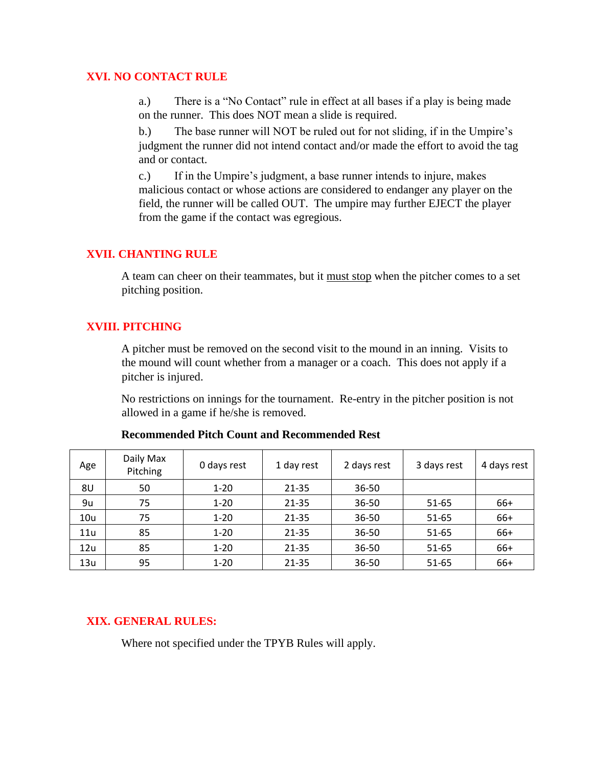#### **XVI. NO CONTACT RULE**

a.) There is a "No Contact" rule in effect at all bases if a play is being made on the runner. This does NOT mean a slide is required.

b.) The base runner will NOT be ruled out for not sliding, if in the Umpire's judgment the runner did not intend contact and/or made the effort to avoid the tag and or contact.

c.) If in the Umpire's judgment, a base runner intends to injure, makes malicious contact or whose actions are considered to endanger any player on the field, the runner will be called OUT. The umpire may further EJECT the player from the game if the contact was egregious.

#### **XVII. CHANTING RULE**

A team can cheer on their teammates, but it must stop when the pitcher comes to a set pitching position.

#### **XVIII. PITCHING**

A pitcher must be removed on the second visit to the mound in an inning. Visits to the mound will count whether from a manager or a coach. This does not apply if a pitcher is injured.

No restrictions on innings for the tournament. Re-entry in the pitcher position is not allowed in a game if he/she is removed.

| Age | Daily Max<br>Pitching | 0 days rest | 1 day rest | 2 days rest | 3 days rest | 4 days rest |
|-----|-----------------------|-------------|------------|-------------|-------------|-------------|
| 8U  | 50                    | $1 - 20$    | $21 - 35$  | 36-50       |             |             |
| 9u  | 75                    | $1 - 20$    | $21 - 35$  | 36-50       | 51-65       | 66+         |
| 10u | 75                    | $1 - 20$    | $21 - 35$  | 36-50       | 51-65       | 66+         |
| 11u | 85                    | $1 - 20$    | $21 - 35$  | 36-50       | 51-65       | 66+         |
| 12u | 85                    | $1 - 20$    | $21 - 35$  | 36-50       | $51 - 65$   | 66+         |
| 13u | 95                    | $1 - 20$    | 21-35      | 36-50       | $51 - 65$   | 66+         |

#### **Recommended Pitch Count and Recommended Rest**

# **XIX. GENERAL RULES:**

Where not specified under the TPYB Rules will apply.